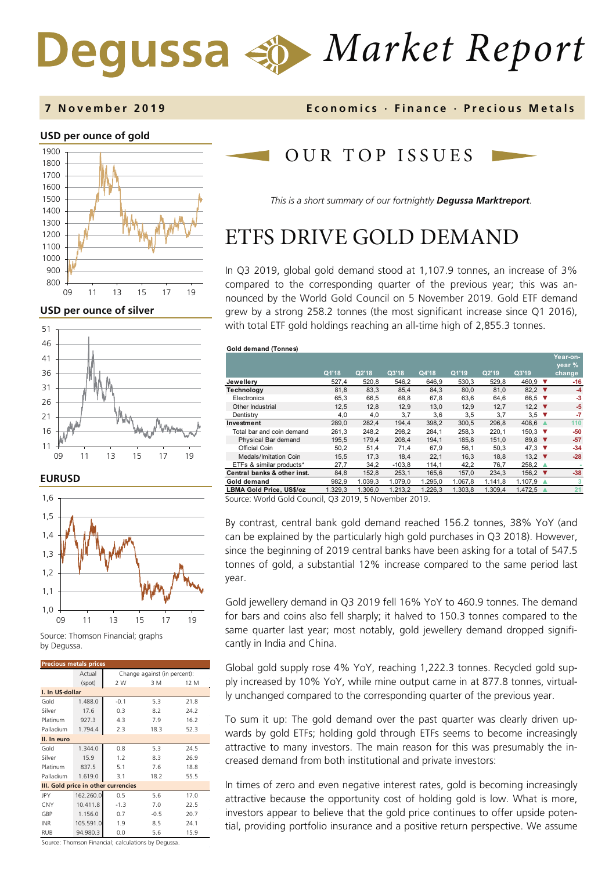# *Market Report* Degussa

### **7 November 201 9 Economics · Finance · Precious M etals**

### **USD per ounce of gold**



**USD per ounce of silver** 



**EURUSD**



Source: Thomson Financial; graphs by Degussa.

| <b>Precious metals prices</b>       |           |                              |        |      |  |  |  |
|-------------------------------------|-----------|------------------------------|--------|------|--|--|--|
|                                     | Actual    | Change against (in percent): |        |      |  |  |  |
|                                     | (spot)    | 2 W                          | 3 M    | 12 M |  |  |  |
| I. In US-dollar                     |           |                              |        |      |  |  |  |
| Gold                                | 1.488.0   | $-0.1$                       | 5.3    | 21.8 |  |  |  |
| Silver                              | 17.6      | 0.3                          | 8.2    | 24.2 |  |  |  |
| Platinum                            | 927.3     | 4.3                          | 7.9    | 16.2 |  |  |  |
| Palladium                           | 1.794.4   | 2.3                          | 18.3   | 52.3 |  |  |  |
| II. In euro                         |           |                              |        |      |  |  |  |
| Gold                                | 1.344.0   | 0.8                          | 5.3    | 24.5 |  |  |  |
| Silver                              | 15.9      | 1.2                          | 8.3    | 26.9 |  |  |  |
| Platinum                            | 837.5     | 5.1                          | 7.6    | 18.8 |  |  |  |
| Palladium                           | 1.619.0   | 3.1                          | 18.2   | 55.5 |  |  |  |
| III. Gold price in other currencies |           |                              |        |      |  |  |  |
| <b>JPY</b>                          | 162.260.0 | 0.5                          | 5.6    | 17.0 |  |  |  |
| CNY                                 | 10.411.8  | $-1.3$                       | 7.0    | 22.5 |  |  |  |
| GBP                                 | 1.156.0   | 0.7                          | $-0.5$ | 20.7 |  |  |  |
| <b>INR</b>                          | 105.591.0 | 1.9                          | 8.5    | 24.1 |  |  |  |
| <b>RUB</b>                          | 94.980.3  | 0.0                          | 5.6    | 15.9 |  |  |  |

OUR TOP ISSUE S

*This is a short summary of our fortnightly Degussa Marktreport.*

# ETFS DRIVE GOLD DEMAND

In Q3 2019, global gold demand stood at 1,107.9 tonnes, an increase of 3% compared to the corresponding quarter of the previous year; this was announced by the World Gold Council on 5 November 2019. Gold ETF demand grew by a strong 258.2 tonnes (the most significant increase since Q1 2016), with total ETF gold holdings reaching an all-time high of 2,855.3 tonnes.

| Gold demand (Tonnes)         |         |         |          |         |         |         |                            |                    |
|------------------------------|---------|---------|----------|---------|---------|---------|----------------------------|--------------------|
|                              |         |         |          |         |         |         |                            | Year-on-<br>year % |
|                              | Q1'18   | Q2'18   | Q3'18    | Q4'18   | Q1'19   | Q2'19   | Q3'19                      | change             |
| Jewellery                    | 527,4   | 520,8   | 546,2    | 646,9   | 530,3   | 529,8   | 460.9<br>▼                 | $-16$              |
| Technology                   | 81,8    | 83,3    | 85,4     | 84,3    | 80,0    | 81,0    | 82,2 $\blacktriangledown$  | $-4$               |
| Electronics                  | 65,3    | 66,5    | 68.8     | 67,8    | 63,6    | 64,6    | 66.5<br>▼                  | -3                 |
| Other Industrial             | 12,5    | 12,8    | 12,9     | 13,0    | 12,9    | 12,7    | 12,2 $\blacktriangledown$  | -5                 |
| Dentistry                    | 4,0     | 4,0     | 3,7      | 3,6     | 3,5     | 3,7     | $3.5$ $\blacktriangledown$ | -7                 |
| Investment                   | 289,0   | 282,4   | 194.4    | 398,2   | 300.5   | 296,8   | 408,6                      | 110                |
| Total bar and coin demand    | 261,3   | 248,2   | 298,2    | 284,1   | 258,3   | 220,1   | $150,3$ ▼                  | -50                |
| Physical Bar demand          | 195,5   | 179,4   | 208,4    | 194,1   | 185,8   | 151,0   | 89,8 $\blacktriangledown$  | $-57$              |
| Official Coin                | 50,2    | 51,4    | 71,4     | 67,9    | 56,1    | 50,3    | 47,3 $\blacktriangledown$  | $-34$              |
| <b>Medals/Imitation Coin</b> | 15,5    | 17,3    | 18.4     | 22.1    | 16,3    | 18.8    | 13.2 $\blacktriangledown$  | $-28$              |
| ETFs & similar products*     | 27,7    | 34,2    | $-103,8$ | 114,1   | 42,2    | 76,7    | 258.2                      |                    |
| Central banks & other inst.  | 84,8    | 152,8   | 253,1    | 165,6   | 157,0   | 234,3   | 156.2 ▼                    | $-38$              |
| Gold demand                  | 982,9   | 1.039,3 | 1.079,0  | 1.295,0 | 1.067,8 | 1.141,8 | 1.107,9                    | 3                  |
| LBMA Gold Price, US\$/oz     | 1.329,3 | 1.306.0 | 1.213,2  | 1.226,3 | 1.303.8 | 1.309.4 | 1.472,5                    | 21                 |

Source: World Gold Council, Q3 2019, 5 November 2019.

By contrast, central bank gold demand reached 156.2 tonnes, 38% YoY (and can be explained by the particularly high gold purchases in Q3 2018). However, since the beginning of 2019 central banks have been asking for a total of 547.5 tonnes of gold, a substantial 12% increase compared to the same period last year.

Gold jewellery demand in Q3 2019 fell 16% YoY to 460.9 tonnes. The demand for bars and coins also fell sharply; it halved to 150.3 tonnes compared to the same quarter last year; most notably, gold jewellery demand dropped significantly in India and China.

Global gold supply rose 4% YoY, reaching 1,222.3 tonnes. Recycled gold supply increased by 10% YoY, while mine output came in at 877.8 tonnes, virtually unchanged compared to the corresponding quarter of the previous year.

To sum it up: The gold demand over the past quarter was clearly driven upwards by gold ETFs; holding gold through ETFs seems to become increasingly attractive to many investors. The main reason for this was presumably the increased demand from both institutional and private investors:

In times of zero and even negative interest rates, gold is becoming increasingly attractive because the opportunity cost of holding gold is low. What is more, investors appear to believe that the gold price continues to offer upside potential, providing portfolio insurance and a positive return perspective. We assume

Source: Thomson Financial; calculations by Degussa.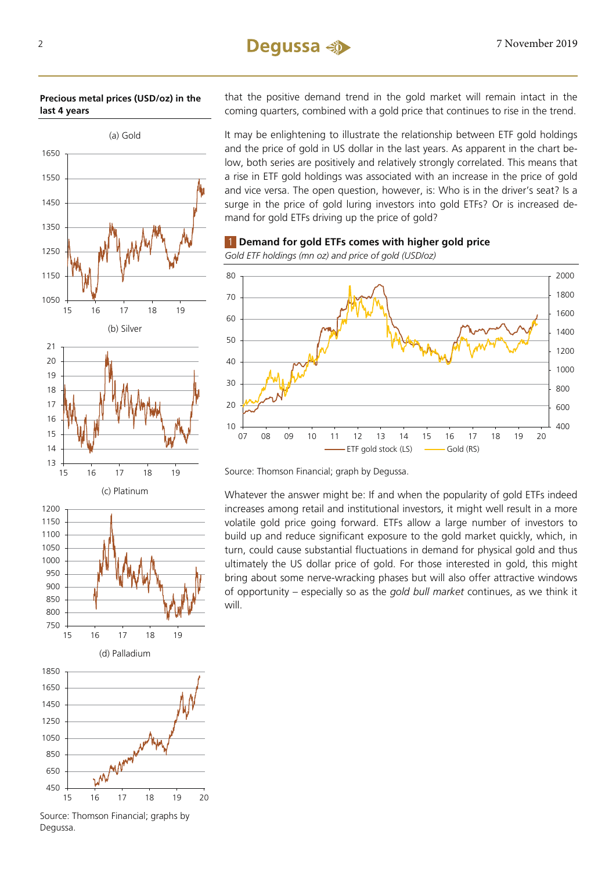### 2 7 November 2019

**Precious metal prices (USD/oz) in the last 4 years**



(d) Palladium 16 17 18 19 20

Source: Thomson Financial; graphs by Degussa.

that the positive demand trend in the gold market will remain intact in the coming quarters, combined with a gold price that continues to rise in the trend.

It may be enlightening to illustrate the relationship between ETF gold holdings and the price of gold in US dollar in the last years. As apparent in the chart below, both series are positively and relatively strongly correlated. This means that a rise in ETF gold holdings was associated with an increase in the price of gold and vice versa. The open question, however, is: Who is in the driver's seat? Is a surge in the price of gold luring investors into gold ETFs? Or is increased demand for gold ETFs driving up the price of gold?



*Gold ETF holdings (mn oz) and price of gold (USD/oz)*



Source: Thomson Financial; graph by Degussa.

Whatever the answer might be: If and when the popularity of gold ETFs indeed increases among retail and institutional investors, it might well result in a more volatile gold price going forward. ETFs allow a large number of investors to build up and reduce significant exposure to the gold market quickly, which, in turn, could cause substantial fluctuations in demand for physical gold and thus ultimately the US dollar price of gold. For those interested in gold, this might bring about some nerve-wracking phases but will also offer attractive windows of opportunity – especially so as the *gold bull market* continues, as we think it will.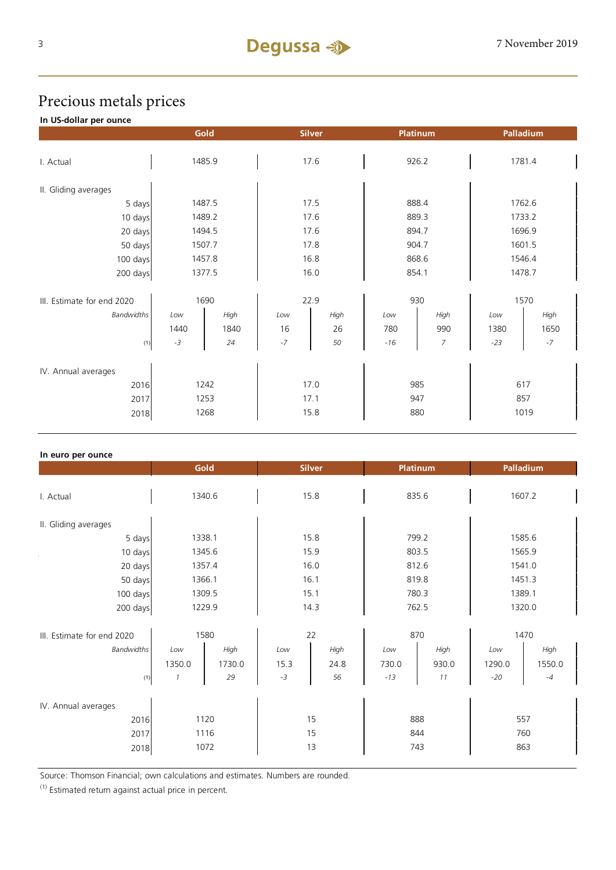## Precious metals prices

### **In US-dollar per ounce**

|                             |              | Gold   | <b>Silver</b> |      | Platinum   |                  | Palladium  |      |  |
|-----------------------------|--------------|--------|---------------|------|------------|------------------|------------|------|--|
| I. Actual                   | 1485.9       |        | 17.6          |      | 926.2      |                  | 1781.4     |      |  |
|                             |              |        |               |      |            |                  |            |      |  |
| II. Gliding averages        |              |        |               |      |            |                  |            |      |  |
| 5 days                      |              | 1487.5 | 17.5          |      | 888.4      |                  | 1762.6     |      |  |
| 10 days                     |              | 1489.2 | 17.6          |      | 889.3      |                  | 1733.2     |      |  |
| 20 days                     |              | 1494.5 | 17.6          |      | 894.7      |                  | 1696.9     |      |  |
| 50 days                     |              | 1507.7 | 17.8          |      | 904.7      |                  | 1601.5     |      |  |
| 100 days                    | 1457.8       |        | 16.8          |      | 868.6      |                  | 1546.4     |      |  |
| 200 days                    | 1377.5       |        | 16.0          |      | 854.1      |                  | 1478.7     |      |  |
|                             |              |        |               |      |            |                  |            |      |  |
| III. Estimate for end 2020  | 1690         |        |               | 22.9 |            | 930              |            | 1570 |  |
| <b>Bandwidths</b>           | Low          | High   | Low           | High | Low        | High             | Low        | High |  |
|                             | 1440         | 1840   | 16            | 26   | 780        | 990              | 1380       | 1650 |  |
| (1)                         | $-3$         | 24     | $-7$          | 50   | $-16$      | $\boldsymbol{7}$ | $-23$      | $-7$ |  |
|                             |              |        |               |      |            |                  |            |      |  |
| IV. Annual averages<br>2016 |              |        |               |      |            |                  |            |      |  |
|                             | 1242         |        | 17.0<br>17.1  |      | 985<br>947 |                  | 617<br>857 |      |  |
| 2017                        | 1253<br>1268 |        | 15.8          |      |            | 880              |            | 1019 |  |
| 2018                        |              |        |               |      |            |                  |            |      |  |

| In euro per ounce          |               |        |               |      |                 |       |           |        |
|----------------------------|---------------|--------|---------------|------|-----------------|-------|-----------|--------|
|                            |               | Gold   | <b>Silver</b> |      | <b>Platinum</b> |       | Palladium |        |
|                            |               |        |               |      |                 |       |           |        |
| I. Actual                  |               | 1340.6 | 15.8          |      | 835.6           |       | 1607.2    |        |
|                            |               |        |               |      |                 |       |           |        |
| II. Gliding averages       |               |        |               |      |                 |       |           |        |
| 5 days                     |               | 1338.1 | 15.8          |      | 799.2           |       | 1585.6    |        |
| 10 days                    | 1345.6        |        | 15.9          |      | 803.5           |       | 1565.9    |        |
| 20 days                    | 1357.4        |        | 16.0          |      | 812.6           |       | 1541.0    |        |
| 50 days                    | 1366.1        |        | 16.1          |      | 819.8           |       | 1451.3    |        |
| 100 days                   | 1309.5        |        | 15.1          |      | 780.3           |       | 1389.1    |        |
| 200 days                   | 1229.9        |        | 14.3          |      | 762.5           |       | 1320.0    |        |
|                            |               |        |               |      |                 |       |           |        |
| III. Estimate for end 2020 | 1580          |        | 22            |      | 870             |       | 1470      |        |
| <b>Bandwidths</b>          | Low           | High   | Low           | High | Low             | High  | Low       | High   |
|                            | 1350.0        | 1730.0 | 15.3          | 24.8 | 730.0           | 930.0 | 1290.0    | 1550.0 |
| (1)                        | $\mathcal{I}$ | 29     | $-3$          | 56   | $-13$           | 11    | $-20$     | $-4$   |
|                            |               |        |               |      |                 |       |           |        |
| IV. Annual averages        |               |        |               |      |                 |       |           |        |
| 2016                       | 1120          |        | 15            |      | 888             |       | 557       |        |
| 2017                       | 1116          |        | 15            |      | 844             |       | 760       |        |
| 2018                       | 1072          |        | 13            |      | 743             |       | 863       |        |
|                            |               |        |               |      |                 |       |           |        |

Source: Thomson Financial; own calculations and estimates. Numbers are rounded.

 $(1)$  Estimated return against actual price in percent.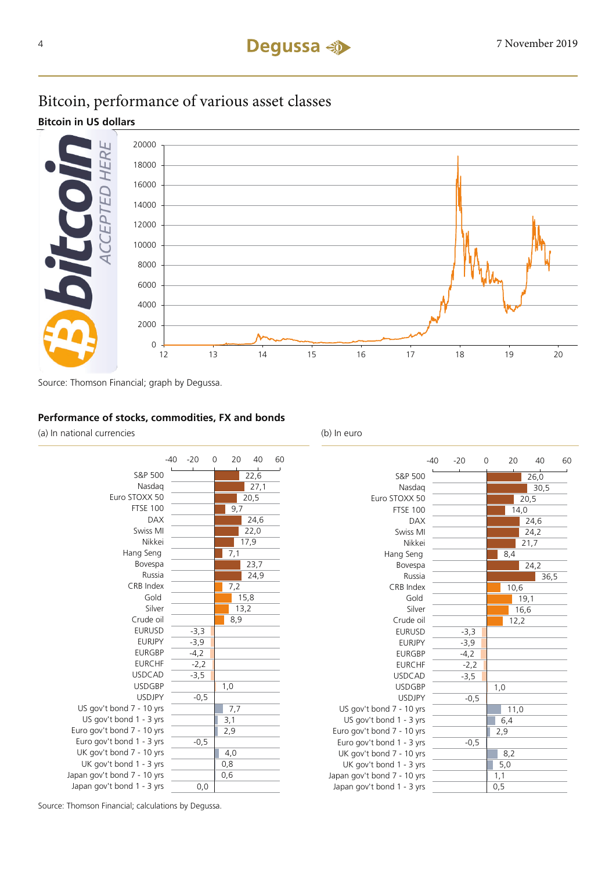### Bitcoin, performance of various asset classes

**Bitcoin in US dollars**



Source: Thomson Financial; graph by Degussa.

### **Performance of stocks, commodities, FX and bonds**

(a) In national currencies (b) In euro





Source: Thomson Financial; calculations by Degussa.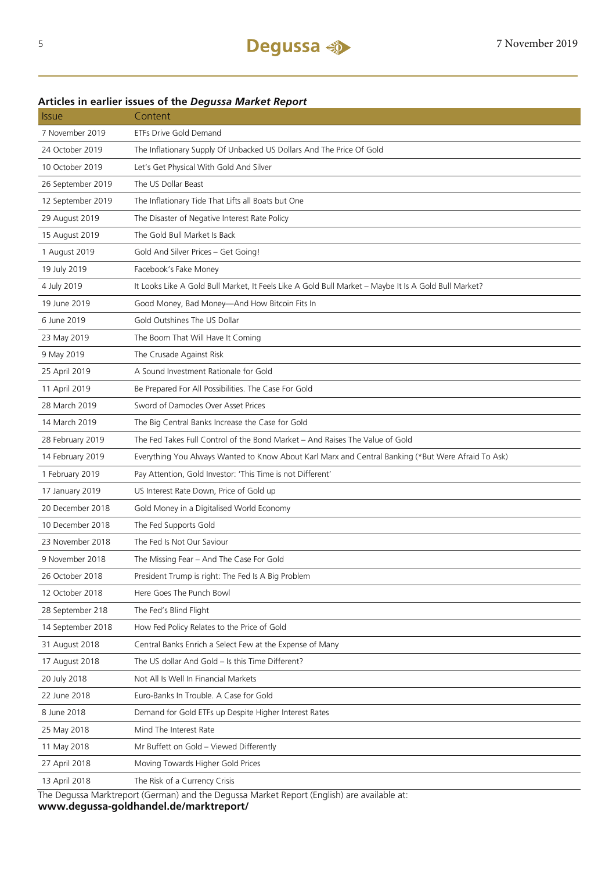### **Articles in earlier issues of the** *Degussa Market Report*

| <b>Issue</b>      | Content                                                                                              |
|-------------------|------------------------------------------------------------------------------------------------------|
| 7 November 2019   | <b>ETFs Drive Gold Demand</b>                                                                        |
| 24 October 2019   | The Inflationary Supply Of Unbacked US Dollars And The Price Of Gold                                 |
| 10 October 2019   | Let's Get Physical With Gold And Silver                                                              |
| 26 September 2019 | The US Dollar Beast                                                                                  |
| 12 September 2019 | The Inflationary Tide That Lifts all Boats but One                                                   |
| 29 August 2019    | The Disaster of Negative Interest Rate Policy                                                        |
| 15 August 2019    | The Gold Bull Market Is Back                                                                         |
| 1 August 2019     | Gold And Silver Prices - Get Going!                                                                  |
| 19 July 2019      | Facebook's Fake Money                                                                                |
| 4 July 2019       | It Looks Like A Gold Bull Market, It Feels Like A Gold Bull Market - Maybe It Is A Gold Bull Market? |
| 19 June 2019      | Good Money, Bad Money-And How Bitcoin Fits In                                                        |
| 6 June 2019       | Gold Outshines The US Dollar                                                                         |
| 23 May 2019       | The Boom That Will Have It Coming                                                                    |
| 9 May 2019        | The Crusade Against Risk                                                                             |
| 25 April 2019     | A Sound Investment Rationale for Gold                                                                |
| 11 April 2019     | Be Prepared For All Possibilities. The Case For Gold                                                 |
| 28 March 2019     | Sword of Damocles Over Asset Prices                                                                  |
| 14 March 2019     | The Big Central Banks Increase the Case for Gold                                                     |
| 28 February 2019  | The Fed Takes Full Control of the Bond Market – And Raises The Value of Gold                         |
| 14 February 2019  | Everything You Always Wanted to Know About Karl Marx and Central Banking (*But Were Afraid To Ask)   |
| 1 February 2019   | Pay Attention, Gold Investor: 'This Time is not Different'                                           |
| 17 January 2019   | US Interest Rate Down, Price of Gold up                                                              |
| 20 December 2018  | Gold Money in a Digitalised World Economy                                                            |
| 10 December 2018  | The Fed Supports Gold                                                                                |
| 23 November 2018  | The Fed Is Not Our Saviour                                                                           |
| 9 November 2018   | The Missing Fear - And The Case For Gold                                                             |
| 26 October 2018   | President Trump is right: The Fed Is A Big Problem                                                   |
| 12 October 2018   | Here Goes The Punch Bowl                                                                             |
| 28 September 218  | The Fed's Blind Flight                                                                               |
| 14 September 2018 | How Fed Policy Relates to the Price of Gold                                                          |
| 31 August 2018    | Central Banks Enrich a Select Few at the Expense of Many                                             |
| 17 August 2018    | The US dollar And Gold - Is this Time Different?                                                     |
| 20 July 2018      | Not All Is Well In Financial Markets                                                                 |
| 22 June 2018      | Euro-Banks In Trouble. A Case for Gold                                                               |
| 8 June 2018       | Demand for Gold ETFs up Despite Higher Interest Rates                                                |
| 25 May 2018       | Mind The Interest Rate                                                                               |
| 11 May 2018       | Mr Buffett on Gold - Viewed Differently                                                              |
| 27 April 2018     | Moving Towards Higher Gold Prices                                                                    |
| 13 April 2018     | The Risk of a Currency Crisis                                                                        |
|                   |                                                                                                      |

The Degussa Marktreport (German) and the Degussa Market Report (English) are available at: **www.degussa-goldhandel.de/marktreport/**